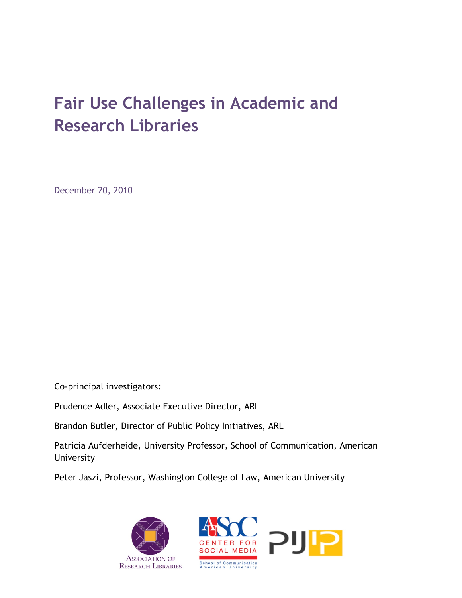# **Fair Use Challenges in Academic and Research Libraries**

December 20, 2010

Co-principal investigators:

Prudence Adler, Associate Executive Director, ARL

Brandon Butler, Director of Public Policy Initiatives, ARL

Patricia Aufderheide, University Professor, School of Communication, American University

Peter Jaszi, Professor, Washington College of Law, American University



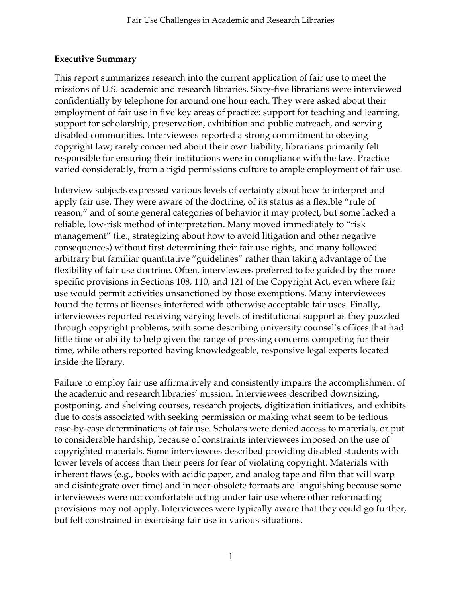## **Executive Summary**

This report summarizes research into the current application of fair use to meet the missions of U.S. academic and research libraries. Sixty-five librarians were interviewed confidentially by telephone for around one hour each. They were asked about their employment of fair use in five key areas of practice: support for teaching and learning, support for scholarship, preservation, exhibition and public outreach, and serving disabled communities. Interviewees reported a strong commitment to obeying copyright law; rarely concerned about their own liability, librarians primarily felt responsible for ensuring their institutions were in compliance with the law. Practice varied considerably, from a rigid permissions culture to ample employment of fair use.

Interview subjects expressed various levels of certainty about how to interpret and apply fair use. They were aware of the doctrine, of its status as a flexible "rule of reason," and of some general categories of behavior it may protect, but some lacked a reliable, low-risk method of interpretation. Many moved immediately to "risk management" (i.e., strategizing about how to avoid litigation and other negative consequences) without first determining their fair use rights, and many followed arbitrary but familiar quantitative "guidelines" rather than taking advantage of the flexibility of fair use doctrine. Often, interviewees preferred to be guided by the more specific provisions in Sections 108, 110, and 121 of the Copyright Act, even where fair use would permit activities unsanctioned by those exemptions. Many interviewees found the terms of licenses interfered with otherwise acceptable fair uses. Finally, interviewees reported receiving varying levels of institutional support as they puzzled through copyright problems, with some describing university counsel's offices that had little time or ability to help given the range of pressing concerns competing for their time, while others reported having knowledgeable, responsive legal experts located inside the library.

Failure to employ fair use affirmatively and consistently impairs the accomplishment of the academic and research libraries' mission. Interviewees described downsizing, postponing, and shelving courses, research projects, digitization initiatives, and exhibits due to costs associated with seeking permission or making what seem to be tedious case-by-case determinations of fair use. Scholars were denied access to materials, or put to considerable hardship, because of constraints interviewees imposed on the use of copyrighted materials. Some interviewees described providing disabled students with lower levels of access than their peers for fear of violating copyright. Materials with inherent flaws (e.g., books with acidic paper, and analog tape and film that will warp and disintegrate over time) and in near-obsolete formats are languishing because some interviewees were not comfortable acting under fair use where other reformatting provisions may not apply. Interviewees were typically aware that they could go further, but felt constrained in exercising fair use in various situations.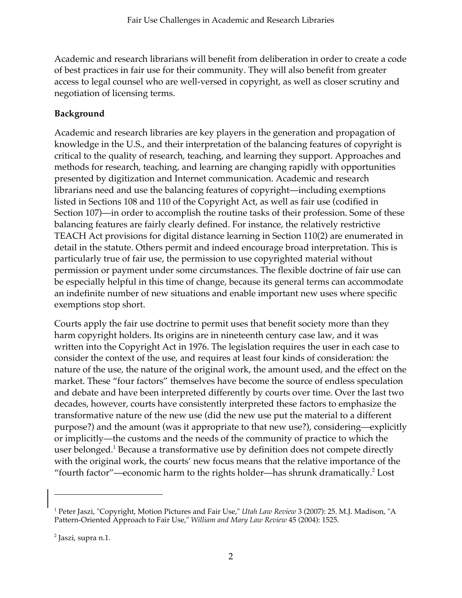Academic and research librarians will benefit from deliberation in order to create a code of best practices in fair use for their community. They will also benefit from greater access to legal counsel who are well-versed in copyright, as well as closer scrutiny and negotiation of licensing terms.

# **Background**

Academic and research libraries are key players in the generation and propagation of knowledge in the U.S., and their interpretation of the balancing features of copyright is critical to the quality of research, teaching, and learning they support. Approaches and methods for research, teaching, and learning are changing rapidly with opportunities presented by digitization and Internet communication. Academic and research librarians need and use the balancing features of copyright—including exemptions listed in Sections 108 and 110 of the Copyright Act, as well as fair use (codified in Section 107)—in order to accomplish the routine tasks of their profession. Some of these balancing features are fairly clearly defined. For instance, the relatively restrictive TEACH Act provisions for digital distance learning in Section 110(2) are enumerated in detail in the statute. Others permit and indeed encourage broad interpretation. This is particularly true of fair use, the permission to use copyrighted material without permission or payment under some circumstances. The flexible doctrine of fair use can be especially helpful in this time of change, because its general terms can accommodate an indefinite number of new situations and enable important new uses where specific exemptions stop short.

Courts apply the fair use doctrine to permit uses that benefit society more than they harm copyright holders. Its origins are in nineteenth century case law, and it was written into the Copyright Act in 1976. The legislation requires the user in each case to consider the context of the use, and requires at least four kinds of consideration: the nature of the use, the nature of the original work, the amount used, and the effect on the market. These "four factors" themselves have become the source of endless speculation and debate and have been interpreted differently by courts over time. Over the last two decades, however, courts have consistently interpreted these factors to emphasize the transformative nature of the new use (did the new use put the material to a different purpose?) and the amount (was it appropriate to that new use?), considering—explicitly or implicitly—the customs and the needs of the community of practice to which the user belonged.<sup>1</sup> Because a transformative use by definition does not compete directly with the original work, the courts' new focus means that the relative importance of the "fourth factor"—economic harm to the rights holder—has shrunk dramatically.<sup>2</sup> Lost

 $\overline{a}$ 

<sup>1</sup> Peter Jaszi, "Copyright, Motion Pictures and Fair Use," *Utah Law Review* 3 (2007): 25. M.J. Madison, "A Pattern-Oriented Approach to Fair Use," *William and Mary Law Review* 45 (2004): 1525.

<sup>&</sup>lt;sup>2</sup> Jaszi, supra n.1.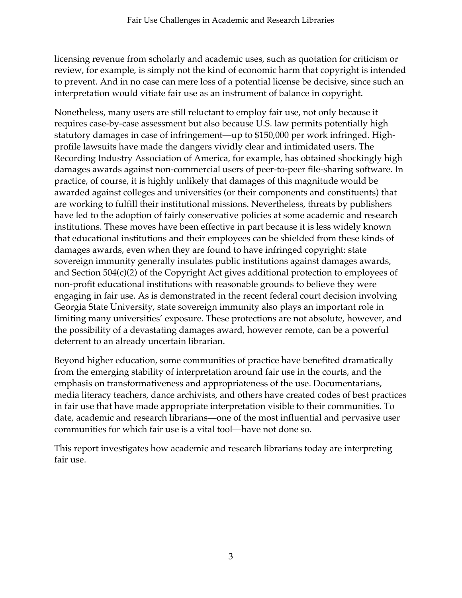licensing revenue from scholarly and academic uses, such as quotation for criticism or review, for example, is simply not the kind of economic harm that copyright is intended to prevent. And in no case can mere loss of a potential license be decisive, since such an interpretation would vitiate fair use as an instrument of balance in copyright.

Nonetheless, many users are still reluctant to employ fair use, not only because it requires case-by-case assessment but also because U.S. law permits potentially high statutory damages in case of infringement—up to \$150,000 per work infringed. Highprofile lawsuits have made the dangers vividly clear and intimidated users. The Recording Industry Association of America, for example, has obtained shockingly high damages awards against non-commercial users of peer-to-peer file-sharing software. In practice, of course, it is highly unlikely that damages of this magnitude would be awarded against colleges and universities (or their components and constituents) that are working to fulfill their institutional missions. Nevertheless, threats by publishers have led to the adoption of fairly conservative policies at some academic and research institutions. These moves have been effective in part because it is less widely known that educational institutions and their employees can be shielded from these kinds of damages awards, even when they are found to have infringed copyright: state sovereign immunity generally insulates public institutions against damages awards, and Section 504(c)(2) of the Copyright Act gives additional protection to employees of non-profit educational institutions with reasonable grounds to believe they were engaging in fair use. As is demonstrated in the recent federal court decision involving Georgia State University, state sovereign immunity also plays an important role in limiting many universities' exposure. These protections are not absolute, however, and the possibility of a devastating damages award, however remote, can be a powerful deterrent to an already uncertain librarian.

Beyond higher education, some communities of practice have benefited dramatically from the emerging stability of interpretation around fair use in the courts, and the emphasis on transformativeness and appropriateness of the use. Documentarians, media literacy teachers, dance archivists, and others have created codes of best practices in fair use that have made appropriate interpretation visible to their communities. To date, academic and research librarians—one of the most influential and pervasive user communities for which fair use is a vital tool—have not done so.

This report investigates how academic and research librarians today are interpreting fair use.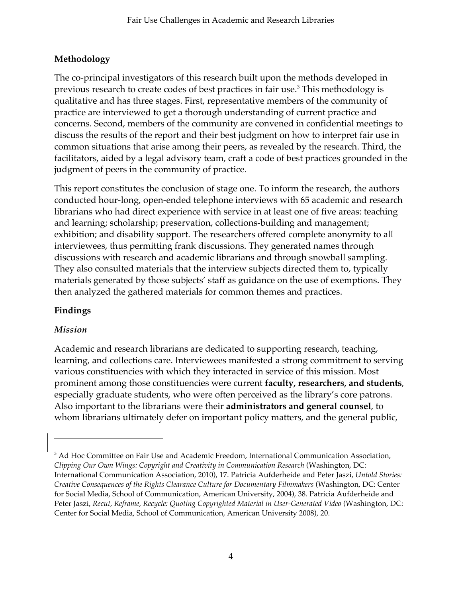# **Methodology**

The co-principal investigators of this research built upon the methods developed in previous research to create codes of best practices in fair use.<sup>3</sup> This methodology is qualitative and has three stages. First, representative members of the community of practice are interviewed to get a thorough understanding of current practice and concerns. Second, members of the community are convened in confidential meetings to discuss the results of the report and their best judgment on how to interpret fair use in common situations that arise among their peers, as revealed by the research. Third, the facilitators, aided by a legal advisory team, craft a code of best practices grounded in the judgment of peers in the community of practice.

This report constitutes the conclusion of stage one. To inform the research, the authors conducted hour-long, open-ended telephone interviews with 65 academic and research librarians who had direct experience with service in at least one of five areas: teaching and learning; scholarship; preservation, collections-building and management; exhibition; and disability support. The researchers offered complete anonymity to all interviewees, thus permitting frank discussions. They generated names through discussions with research and academic librarians and through snowball sampling. They also consulted materials that the interview subjects directed them to, typically materials generated by those subjects' staff as guidance on the use of exemptions. They then analyzed the gathered materials for common themes and practices.

# **Findings**

# *Mission*

j

Academic and research librarians are dedicated to supporting research, teaching, learning, and collections care. Interviewees manifested a strong commitment to serving various constituencies with which they interacted in service of this mission. Most prominent among those constituencies were current **faculty, researchers, and students**, especially graduate students, who were often perceived as the library's core patrons. Also important to the librarians were their **administrators and general counsel**, to whom librarians ultimately defer on important policy matters, and the general public,

<sup>&</sup>lt;sup>3</sup> Ad Hoc Committee on Fair Use and Academic Freedom, International Communication Association, *Clipping Our Own Wings: Copyright and Creativity in Communication Research* (Washington, DC: International Communication Association, 2010), 17. Patricia Aufderheide and Peter Jaszi, *Untold Stories: Creative Consequences of the Rights Clearance Culture for Documentary Filmmakers* (Washington, DC: Center for Social Media, School of Communication, American University, 2004), 38. Patricia Aufderheide and Peter Jaszi, *Recut, Reframe, Recycle: Quoting Copyrighted Material in User-Generated Video* (Washington, DC: Center for Social Media, School of Communication, American University 2008), 20.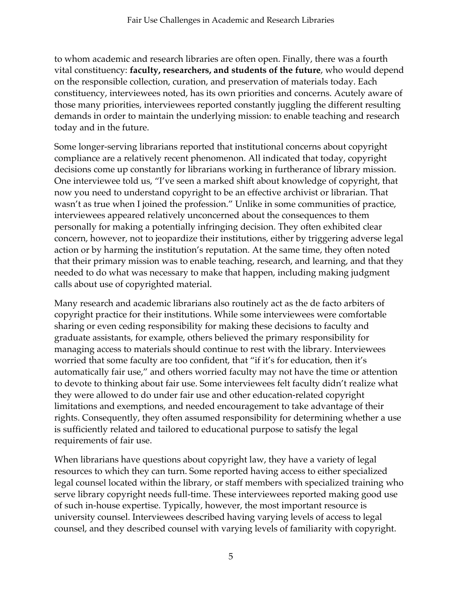to whom academic and research libraries are often open. Finally, there was a fourth vital constituency: **faculty, researchers, and students of the future**, who would depend on the responsible collection, curation, and preservation of materials today. Each constituency, interviewees noted, has its own priorities and concerns. Acutely aware of those many priorities, interviewees reported constantly juggling the different resulting demands in order to maintain the underlying mission: to enable teaching and research today and in the future.

Some longer-serving librarians reported that institutional concerns about copyright compliance are a relatively recent phenomenon. All indicated that today, copyright decisions come up constantly for librarians working in furtherance of library mission. One interviewee told us, "I've seen a marked shift about knowledge of copyright, that now you need to understand copyright to be an effective archivist or librarian. That wasn't as true when I joined the profession." Unlike in some communities of practice, interviewees appeared relatively unconcerned about the consequences to them personally for making a potentially infringing decision. They often exhibited clear concern, however, not to jeopardize their institutions, either by triggering adverse legal action or by harming the institution's reputation. At the same time, they often noted that their primary mission was to enable teaching, research, and learning, and that they needed to do what was necessary to make that happen, including making judgment calls about use of copyrighted material.

Many research and academic librarians also routinely act as the de facto arbiters of copyright practice for their institutions. While some interviewees were comfortable sharing or even ceding responsibility for making these decisions to faculty and graduate assistants, for example, others believed the primary responsibility for managing access to materials should continue to rest with the library. Interviewees worried that some faculty are too confident, that "if it's for education, then it's automatically fair use," and others worried faculty may not have the time or attention to devote to thinking about fair use. Some interviewees felt faculty didn't realize what they were allowed to do under fair use and other education-related copyright limitations and exemptions, and needed encouragement to take advantage of their rights. Consequently, they often assumed responsibility for determining whether a use is sufficiently related and tailored to educational purpose to satisfy the legal requirements of fair use.

When librarians have questions about copyright law, they have a variety of legal resources to which they can turn. Some reported having access to either specialized legal counsel located within the library, or staff members with specialized training who serve library copyright needs full-time. These interviewees reported making good use of such in-house expertise. Typically, however, the most important resource is university counsel. Interviewees described having varying levels of access to legal counsel, and they described counsel with varying levels of familiarity with copyright.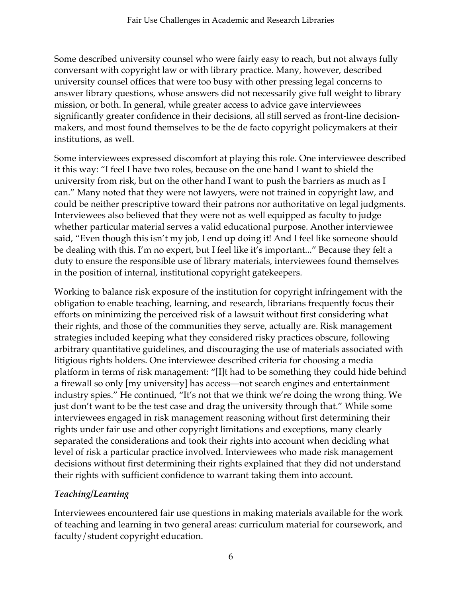Some described university counsel who were fairly easy to reach, but not always fully conversant with copyright law or with library practice. Many, however, described university counsel offices that were too busy with other pressing legal concerns to answer library questions, whose answers did not necessarily give full weight to library mission, or both. In general, while greater access to advice gave interviewees significantly greater confidence in their decisions, all still served as front-line decisionmakers, and most found themselves to be the de facto copyright policymakers at their institutions, as well.

Some interviewees expressed discomfort at playing this role. One interviewee described it this way: "I feel I have two roles, because on the one hand I want to shield the university from risk, but on the other hand I want to push the barriers as much as I can." Many noted that they were not lawyers, were not trained in copyright law, and could be neither prescriptive toward their patrons nor authoritative on legal judgments. Interviewees also believed that they were not as well equipped as faculty to judge whether particular material serves a valid educational purpose. Another interviewee said, "Even though this isn't my job, I end up doing it! And I feel like someone should be dealing with this. I'm no expert, but I feel like it's important..." Because they felt a duty to ensure the responsible use of library materials, interviewees found themselves in the position of internal, institutional copyright gatekeepers.

Working to balance risk exposure of the institution for copyright infringement with the obligation to enable teaching, learning, and research, librarians frequently focus their efforts on minimizing the perceived risk of a lawsuit without first considering what their rights, and those of the communities they serve, actually are. Risk management strategies included keeping what they considered risky practices obscure, following arbitrary quantitative guidelines, and discouraging the use of materials associated with litigious rights holders. One interviewee described criteria for choosing a media platform in terms of risk management: "[I]t had to be something they could hide behind a firewall so only [my university] has access—not search engines and entertainment industry spies." He continued, "It's not that we think we're doing the wrong thing. We just don't want to be the test case and drag the university through that." While some interviewees engaged in risk management reasoning without first determining their rights under fair use and other copyright limitations and exceptions, many clearly separated the considerations and took their rights into account when deciding what level of risk a particular practice involved. Interviewees who made risk management decisions without first determining their rights explained that they did not understand their rights with sufficient confidence to warrant taking them into account.

# *Teaching/Learning*

Interviewees encountered fair use questions in making materials available for the work of teaching and learning in two general areas: curriculum material for coursework, and faculty/student copyright education.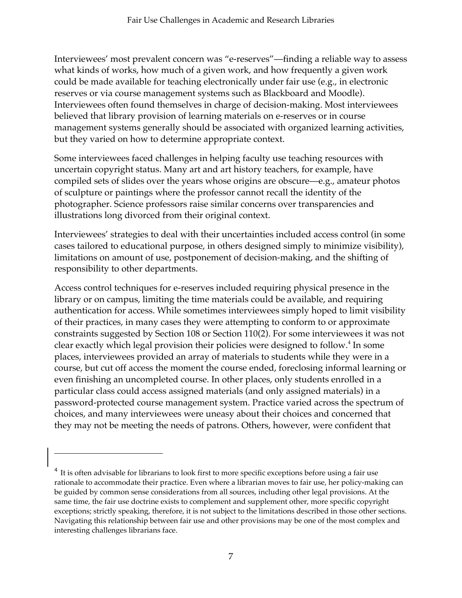Interviewees' most prevalent concern was "e-reserves"—finding a reliable way to assess what kinds of works, how much of a given work, and how frequently a given work could be made available for teaching electronically under fair use (e.g., in electronic reserves or via course management systems such as Blackboard and Moodle). Interviewees often found themselves in charge of decision-making. Most interviewees believed that library provision of learning materials on e-reserves or in course management systems generally should be associated with organized learning activities, but they varied on how to determine appropriate context.

Some interviewees faced challenges in helping faculty use teaching resources with uncertain copyright status. Many art and art history teachers, for example, have compiled sets of slides over the years whose origins are obscure—e.g., amateur photos of sculpture or paintings where the professor cannot recall the identity of the photographer. Science professors raise similar concerns over transparencies and illustrations long divorced from their original context.

Interviewees' strategies to deal with their uncertainties included access control (in some cases tailored to educational purpose, in others designed simply to minimize visibility), limitations on amount of use, postponement of decision-making, and the shifting of responsibility to other departments.

Access control techniques for e-reserves included requiring physical presence in the library or on campus, limiting the time materials could be available, and requiring authentication for access. While sometimes interviewees simply hoped to limit visibility of their practices, in many cases they were attempting to conform to or approximate constraints suggested by Section 108 or Section 110(2). For some interviewees it was not clear exactly which legal provision their policies were designed to follow.<sup>4</sup> In some places, interviewees provided an array of materials to students while they were in a course, but cut off access the moment the course ended, foreclosing informal learning or even finishing an uncompleted course. In other places, only students enrolled in a particular class could access assigned materials (and only assigned materials) in a password-protected course management system. Practice varied across the spectrum of choices, and many interviewees were uneasy about their choices and concerned that they may not be meeting the needs of patrons. Others, however, were confident that

-

<sup>&</sup>lt;sup>4</sup> It is often advisable for librarians to look first to more specific exceptions before using a fair use rationale to accommodate their practice. Even where a librarian moves to fair use, her policy-making can be guided by common sense considerations from all sources, including other legal provisions. At the same time, the fair use doctrine exists to complement and supplement other, more specific copyright exceptions; strictly speaking, therefore, it is not subject to the limitations described in those other sections. Navigating this relationship between fair use and other provisions may be one of the most complex and interesting challenges librarians face.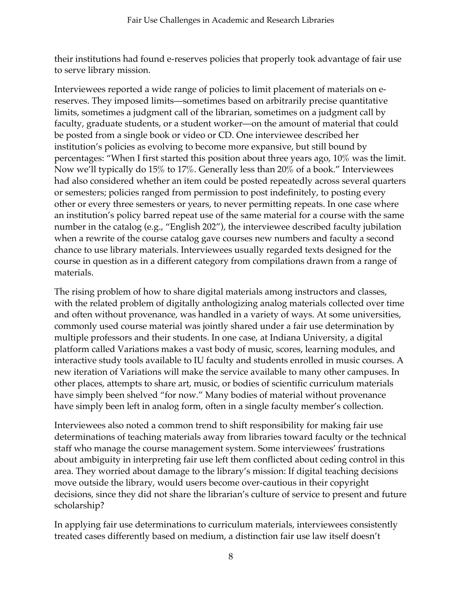their institutions had found e-reserves policies that properly took advantage of fair use to serve library mission.

Interviewees reported a wide range of policies to limit placement of materials on ereserves. They imposed limits—sometimes based on arbitrarily precise quantitative limits, sometimes a judgment call of the librarian, sometimes on a judgment call by faculty, graduate students, or a student worker—on the amount of material that could be posted from a single book or video or CD. One interviewee described her institution's policies as evolving to become more expansive, but still bound by percentages: "When I first started this position about three years ago, 10% was the limit. Now we'll typically do 15% to 17%. Generally less than 20% of a book." Interviewees had also considered whether an item could be posted repeatedly across several quarters or semesters; policies ranged from permission to post indefinitely, to posting every other or every three semesters or years, to never permitting repeats. In one case where an institution's policy barred repeat use of the same material for a course with the same number in the catalog (e.g., "English 202"), the interviewee described faculty jubilation when a rewrite of the course catalog gave courses new numbers and faculty a second chance to use library materials. Interviewees usually regarded texts designed for the course in question as in a different category from compilations drawn from a range of materials.

The rising problem of how to share digital materials among instructors and classes, with the related problem of digitally anthologizing analog materials collected over time and often without provenance, was handled in a variety of ways. At some universities, commonly used course material was jointly shared under a fair use determination by multiple professors and their students. In one case, at Indiana University, a digital platform called Variations makes a vast body of music, scores, learning modules, and interactive study tools available to IU faculty and students enrolled in music courses. A new iteration of Variations will make the service available to many other campuses. In other places, attempts to share art, music, or bodies of scientific curriculum materials have simply been shelved "for now." Many bodies of material without provenance have simply been left in analog form, often in a single faculty member's collection.

Interviewees also noted a common trend to shift responsibility for making fair use determinations of teaching materials away from libraries toward faculty or the technical staff who manage the course management system. Some interviewees' frustrations about ambiguity in interpreting fair use left them conflicted about ceding control in this area. They worried about damage to the library's mission: If digital teaching decisions move outside the library, would users become over-cautious in their copyright decisions, since they did not share the librarian's culture of service to present and future scholarship?

In applying fair use determinations to curriculum materials, interviewees consistently treated cases differently based on medium, a distinction fair use law itself doesn't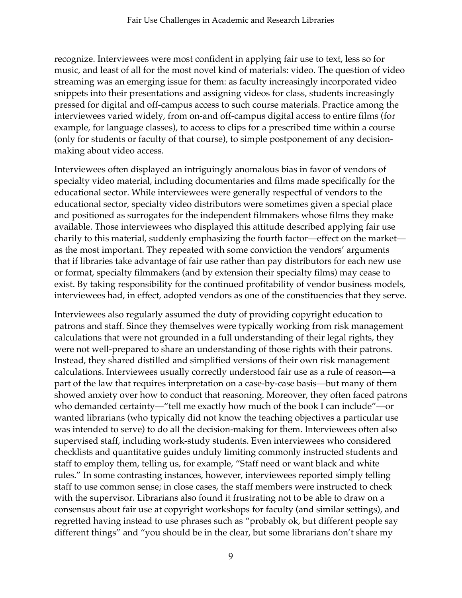recognize. Interviewees were most confident in applying fair use to text, less so for music, and least of all for the most novel kind of materials: video. The question of video streaming was an emerging issue for them: as faculty increasingly incorporated video snippets into their presentations and assigning videos for class, students increasingly pressed for digital and off-campus access to such course materials. Practice among the interviewees varied widely, from on-and off-campus digital access to entire films (for example, for language classes), to access to clips for a prescribed time within a course (only for students or faculty of that course), to simple postponement of any decisionmaking about video access.

Interviewees often displayed an intriguingly anomalous bias in favor of vendors of specialty video material, including documentaries and films made specifically for the educational sector. While interviewees were generally respectful of vendors to the educational sector, specialty video distributors were sometimes given a special place and positioned as surrogates for the independent filmmakers whose films they make available. Those interviewees who displayed this attitude described applying fair use charily to this material, suddenly emphasizing the fourth factor—effect on the market as the most important. They repeated with some conviction the vendors' arguments that if libraries take advantage of fair use rather than pay distributors for each new use or format, specialty filmmakers (and by extension their specialty films) may cease to exist. By taking responsibility for the continued profitability of vendor business models, interviewees had, in effect, adopted vendors as one of the constituencies that they serve.

Interviewees also regularly assumed the duty of providing copyright education to patrons and staff. Since they themselves were typically working from risk management calculations that were not grounded in a full understanding of their legal rights, they were not well-prepared to share an understanding of those rights with their patrons. Instead, they shared distilled and simplified versions of their own risk management calculations. Interviewees usually correctly understood fair use as a rule of reason—a part of the law that requires interpretation on a case-by-case basis—but many of them showed anxiety over how to conduct that reasoning. Moreover, they often faced patrons who demanded certainty—"tell me exactly how much of the book I can include"—or wanted librarians (who typically did not know the teaching objectives a particular use was intended to serve) to do all the decision-making for them. Interviewees often also supervised staff, including work-study students. Even interviewees who considered checklists and quantitative guides unduly limiting commonly instructed students and staff to employ them, telling us, for example, "Staff need or want black and white rules." In some contrasting instances, however, interviewees reported simply telling staff to use common sense; in close cases, the staff members were instructed to check with the supervisor. Librarians also found it frustrating not to be able to draw on a consensus about fair use at copyright workshops for faculty (and similar settings), and regretted having instead to use phrases such as "probably ok, but different people say different things" and "you should be in the clear, but some librarians don't share my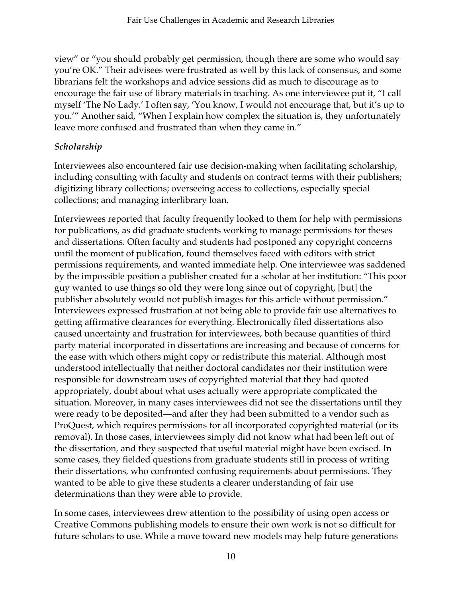view" or "you should probably get permission, though there are some who would say you're OK." Their advisees were frustrated as well by this lack of consensus, and some librarians felt the workshops and advice sessions did as much to discourage as to encourage the fair use of library materials in teaching. As one interviewee put it, "I call myself 'The No Lady.' I often say, 'You know, I would not encourage that, but it's up to you.'" Another said, "When I explain how complex the situation is, they unfortunately leave more confused and frustrated than when they came in."

# *Scholarship*

Interviewees also encountered fair use decision-making when facilitating scholarship, including consulting with faculty and students on contract terms with their publishers; digitizing library collections; overseeing access to collections, especially special collections; and managing interlibrary loan.

Interviewees reported that faculty frequently looked to them for help with permissions for publications, as did graduate students working to manage permissions for theses and dissertations. Often faculty and students had postponed any copyright concerns until the moment of publication, found themselves faced with editors with strict permissions requirements, and wanted immediate help. One interviewee was saddened by the impossible position a publisher created for a scholar at her institution: "This poor guy wanted to use things so old they were long since out of copyright, [but] the publisher absolutely would not publish images for this article without permission." Interviewees expressed frustration at not being able to provide fair use alternatives to getting affirmative clearances for everything. Electronically filed dissertations also caused uncertainty and frustration for interviewees, both because quantities of third party material incorporated in dissertations are increasing and because of concerns for the ease with which others might copy or redistribute this material. Although most understood intellectually that neither doctoral candidates nor their institution were responsible for downstream uses of copyrighted material that they had quoted appropriately, doubt about what uses actually were appropriate complicated the situation. Moreover, in many cases interviewees did not see the dissertations until they were ready to be deposited—and after they had been submitted to a vendor such as ProQuest, which requires permissions for all incorporated copyrighted material (or its removal). In those cases, interviewees simply did not know what had been left out of the dissertation, and they suspected that useful material might have been excised. In some cases, they fielded questions from graduate students still in process of writing their dissertations, who confronted confusing requirements about permissions. They wanted to be able to give these students a clearer understanding of fair use determinations than they were able to provide.

In some cases, interviewees drew attention to the possibility of using open access or Creative Commons publishing models to ensure their own work is not so difficult for future scholars to use. While a move toward new models may help future generations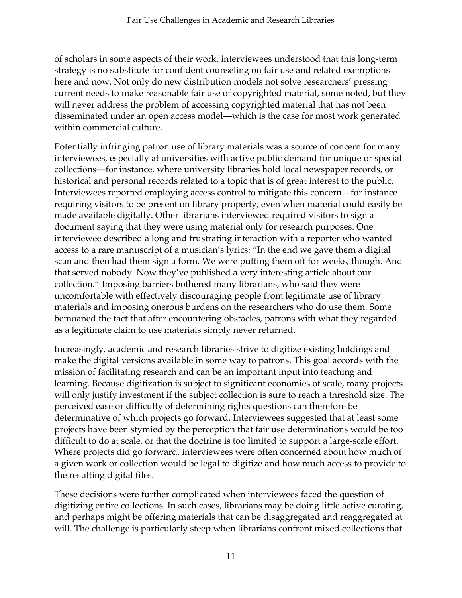of scholars in some aspects of their work, interviewees understood that this long-term strategy is no substitute for confident counseling on fair use and related exemptions here and now. Not only do new distribution models not solve researchers' pressing current needs to make reasonable fair use of copyrighted material, some noted, but they will never address the problem of accessing copyrighted material that has not been disseminated under an open access model—which is the case for most work generated within commercial culture.

Potentially infringing patron use of library materials was a source of concern for many interviewees, especially at universities with active public demand for unique or special collections—for instance, where university libraries hold local newspaper records, or historical and personal records related to a topic that is of great interest to the public. Interviewees reported employing access control to mitigate this concern—for instance requiring visitors to be present on library property, even when material could easily be made available digitally. Other librarians interviewed required visitors to sign a document saying that they were using material only for research purposes. One interviewee described a long and frustrating interaction with a reporter who wanted access to a rare manuscript of a musician's lyrics: "In the end we gave them a digital scan and then had them sign a form. We were putting them off for weeks, though. And that served nobody. Now they've published a very interesting article about our collection." Imposing barriers bothered many librarians, who said they were uncomfortable with effectively discouraging people from legitimate use of library materials and imposing onerous burdens on the researchers who do use them. Some bemoaned the fact that after encountering obstacles, patrons with what they regarded as a legitimate claim to use materials simply never returned.

Increasingly, academic and research libraries strive to digitize existing holdings and make the digital versions available in some way to patrons. This goal accords with the mission of facilitating research and can be an important input into teaching and learning. Because digitization is subject to significant economies of scale, many projects will only justify investment if the subject collection is sure to reach a threshold size. The perceived ease or difficulty of determining rights questions can therefore be determinative of which projects go forward. Interviewees suggested that at least some projects have been stymied by the perception that fair use determinations would be too difficult to do at scale, or that the doctrine is too limited to support a large-scale effort. Where projects did go forward, interviewees were often concerned about how much of a given work or collection would be legal to digitize and how much access to provide to the resulting digital files.

These decisions were further complicated when interviewees faced the question of digitizing entire collections. In such cases, librarians may be doing little active curating, and perhaps might be offering materials that can be disaggregated and reaggregated at will. The challenge is particularly steep when librarians confront mixed collections that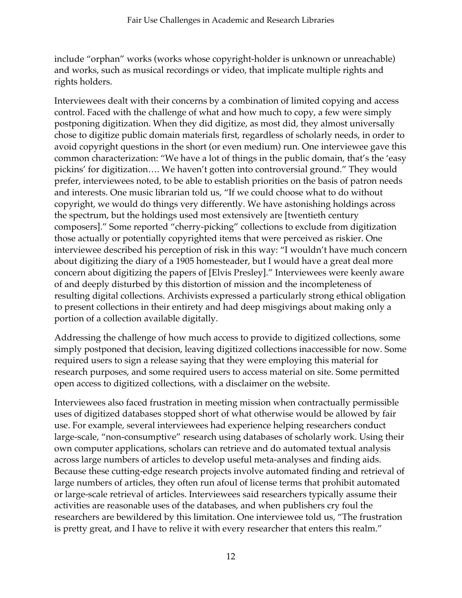include "orphan" works (works whose copyright-holder is unknown or unreachable) and works, such as musical recordings or video, that implicate multiple rights and rights holders.

Interviewees dealt with their concerns by a combination of limited copying and access control. Faced with the challenge of what and how much to copy, a few were simply postponing digitization. When they did digitize, as most did, they almost universally chose to digitize public domain materials first, regardless of scholarly needs, in order to avoid copyright questions in the short (or even medium) run. One interviewee gave this common characterization: "We have a lot of things in the public domain, that's the 'easy pickins' for digitization…. We haven't gotten into controversial ground." They would prefer, interviewees noted, to be able to establish priorities on the basis of patron needs and interests. One music librarian told us, "If we could choose what to do without copyright, we would do things very differently. We have astonishing holdings across the spectrum, but the holdings used most extensively are [twentieth century composers]." Some reported "cherry-picking" collections to exclude from digitization those actually or potentially copyrighted items that were perceived as riskier. One interviewee described his perception of risk in this way: "I wouldn't have much concern about digitizing the diary of a 1905 homesteader, but I would have a great deal more concern about digitizing the papers of [Elvis Presley]." Interviewees were keenly aware of and deeply disturbed by this distortion of mission and the incompleteness of resulting digital collections. Archivists expressed a particularly strong ethical obligation to present collections in their entirety and had deep misgivings about making only a portion of a collection available digitally.

Addressing the challenge of how much access to provide to digitized collections, some simply postponed that decision, leaving digitized collections inaccessible for now. Some required users to sign a release saying that they were employing this material for research purposes, and some required users to access material on site. Some permitted open access to digitized collections, with a disclaimer on the website.

Interviewees also faced frustration in meeting mission when contractually permissible uses of digitized databases stopped short of what otherwise would be allowed by fair use. For example, several interviewees had experience helping researchers conduct large-scale, "non-consumptive" research using databases of scholarly work. Using their own computer applications, scholars can retrieve and do automated textual analysis across large numbers of articles to develop useful meta-analyses and finding aids. Because these cutting-edge research projects involve automated finding and retrieval of large numbers of articles, they often run afoul of license terms that prohibit automated or large-scale retrieval of articles. Interviewees said researchers typically assume their activities are reasonable uses of the databases, and when publishers cry foul the researchers are bewildered by this limitation. One interviewee told us, "The frustration is pretty great, and I have to relive it with every researcher that enters this realm."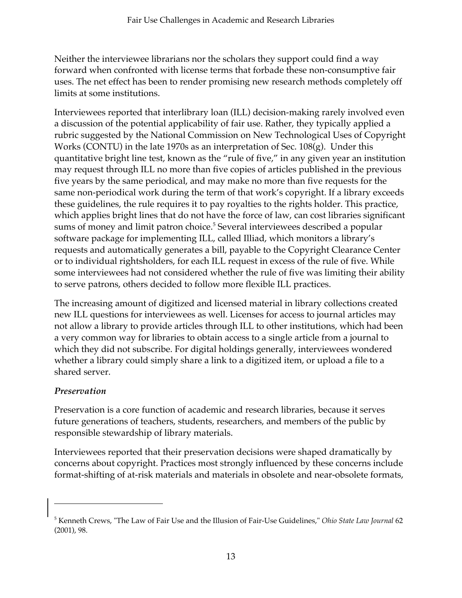Neither the interviewee librarians nor the scholars they support could find a way forward when confronted with license terms that forbade these non-consumptive fair uses. The net effect has been to render promising new research methods completely off limits at some institutions.

Interviewees reported that interlibrary loan (ILL) decision-making rarely involved even a discussion of the potential applicability of fair use. Rather, they typically applied a rubric suggested by the National Commission on New Technological Uses of Copyright Works (CONTU) in the late 1970s as an interpretation of Sec. 108(g). Under this quantitative bright line test, known as the "rule of five," in any given year an institution may request through ILL no more than five copies of articles published in the previous five years by the same periodical, and may make no more than five requests for the same non-periodical work during the term of that work's copyright. If a library exceeds these guidelines, the rule requires it to pay royalties to the rights holder. This practice, which applies bright lines that do not have the force of law, can cost libraries significant sums of money and limit patron choice.<sup>5</sup> Several interviewees described a popular software package for implementing ILL, called Illiad, which monitors a library's requests and automatically generates a bill, payable to the Copyright Clearance Center or to individual rightsholders, for each ILL request in excess of the rule of five. While some interviewees had not considered whether the rule of five was limiting their ability to serve patrons, others decided to follow more flexible ILL practices.

The increasing amount of digitized and licensed material in library collections created new ILL questions for interviewees as well. Licenses for access to journal articles may not allow a library to provide articles through ILL to other institutions, which had been a very common way for libraries to obtain access to a single article from a journal to which they did not subscribe. For digital holdings generally, interviewees wondered whether a library could simply share a link to a digitized item, or upload a file to a shared server.

# *Preservation*

 $\overline{a}$ 

Preservation is a core function of academic and research libraries, because it serves future generations of teachers, students, researchers, and members of the public by responsible stewardship of library materials.

Interviewees reported that their preservation decisions were shaped dramatically by concerns about copyright. Practices most strongly influenced by these concerns include format-shifting of at-risk materials and materials in obsolete and near-obsolete formats,

<sup>5</sup> Kenneth Crews, "The Law of Fair Use and the Illusion of Fair-Use Guidelines," *Ohio State Law Journal* 62 (2001), 98.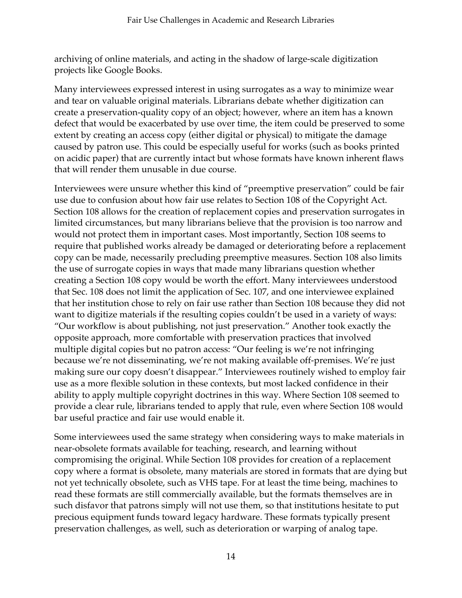archiving of online materials, and acting in the shadow of large-scale digitization projects like Google Books.

Many interviewees expressed interest in using surrogates as a way to minimize wear and tear on valuable original materials. Librarians debate whether digitization can create a preservation-quality copy of an object; however, where an item has a known defect that would be exacerbated by use over time, the item could be preserved to some extent by creating an access copy (either digital or physical) to mitigate the damage caused by patron use. This could be especially useful for works (such as books printed on acidic paper) that are currently intact but whose formats have known inherent flaws that will render them unusable in due course.

Interviewees were unsure whether this kind of "preemptive preservation" could be fair use due to confusion about how fair use relates to Section 108 of the Copyright Act. Section 108 allows for the creation of replacement copies and preservation surrogates in limited circumstances, but many librarians believe that the provision is too narrow and would not protect them in important cases. Most importantly, Section 108 seems to require that published works already be damaged or deteriorating before a replacement copy can be made, necessarily precluding preemptive measures. Section 108 also limits the use of surrogate copies in ways that made many librarians question whether creating a Section 108 copy would be worth the effort. Many interviewees understood that Sec. 108 does not limit the application of Sec. 107, and one interviewee explained that her institution chose to rely on fair use rather than Section 108 because they did not want to digitize materials if the resulting copies couldn't be used in a variety of ways: "Our workflow is about publishing, not just preservation." Another took exactly the opposite approach, more comfortable with preservation practices that involved multiple digital copies but no patron access: "Our feeling is we're not infringing because we're not disseminating, we're not making available off-premises. We're just making sure our copy doesn't disappear." Interviewees routinely wished to employ fair use as a more flexible solution in these contexts, but most lacked confidence in their ability to apply multiple copyright doctrines in this way. Where Section 108 seemed to provide a clear rule, librarians tended to apply that rule, even where Section 108 would bar useful practice and fair use would enable it.

Some interviewees used the same strategy when considering ways to make materials in near-obsolete formats available for teaching, research, and learning without compromising the original. While Section 108 provides for creation of a replacement copy where a format is obsolete, many materials are stored in formats that are dying but not yet technically obsolete, such as VHS tape. For at least the time being, machines to read these formats are still commercially available, but the formats themselves are in such disfavor that patrons simply will not use them, so that institutions hesitate to put precious equipment funds toward legacy hardware. These formats typically present preservation challenges, as well, such as deterioration or warping of analog tape.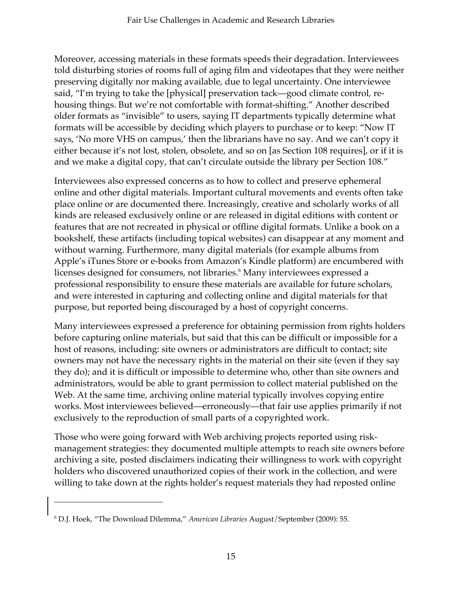Moreover, accessing materials in these formats speeds their degradation. Interviewees told disturbing stories of rooms full of aging film and videotapes that they were neither preserving digitally nor making available, due to legal uncertainty. One interviewee said, "I'm trying to take the [physical] preservation tack—good climate control, rehousing things. But we're not comfortable with format-shifting." Another described older formats as "invisible" to users, saying IT departments typically determine what formats will be accessible by deciding which players to purchase or to keep: "Now IT says, 'No more VHS on campus,' then the librarians have no say. And we can't copy it either because it's not lost, stolen, obsolete, and so on [as Section 108 requires], or if it is and we make a digital copy, that can't circulate outside the library per Section 108."

Interviewees also expressed concerns as to how to collect and preserve ephemeral online and other digital materials. Important cultural movements and events often take place online or are documented there. Increasingly, creative and scholarly works of all kinds are released exclusively online or are released in digital editions with content or features that are not recreated in physical or offline digital formats. Unlike a book on a bookshelf, these artifacts (including topical websites) can disappear at any moment and without warning. Furthermore, many digital materials (for example albums from Apple's iTunes Store or e-books from Amazon's Kindle platform) are encumbered with licenses designed for consumers, not libraries.<sup>6</sup> Many interviewees expressed a professional responsibility to ensure these materials are available for future scholars, and were interested in capturing and collecting online and digital materials for that purpose, but reported being discouraged by a host of copyright concerns.

Many interviewees expressed a preference for obtaining permission from rights holders before capturing online materials, but said that this can be difficult or impossible for a host of reasons, including: site owners or administrators are difficult to contact; site owners may not have the necessary rights in the material on their site (even if they say they do); and it is difficult or impossible to determine who, other than site owners and administrators, would be able to grant permission to collect material published on the Web. At the same time, archiving online material typically involves copying entire works. Most interviewees believed—erroneously—that fair use applies primarily if not exclusively to the reproduction of small parts of a copyrighted work.

Those who were going forward with Web archiving projects reported using riskmanagement strategies: they documented multiple attempts to reach site owners before archiving a site, posted disclaimers indicating their willingness to work with copyright holders who discovered unauthorized copies of their work in the collection, and were willing to take down at the rights holder's request materials they had reposted online

j

<sup>6</sup> D.J. Hoek, "The Download Dilemma," *American Libraries* August/September (2009): 55.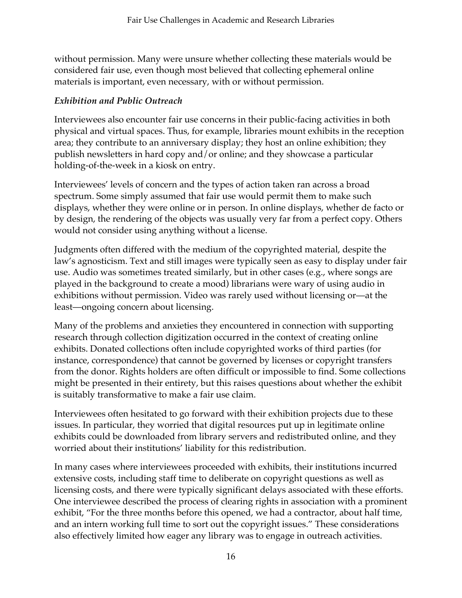without permission. Many were unsure whether collecting these materials would be considered fair use, even though most believed that collecting ephemeral online materials is important, even necessary, with or without permission.

#### *Exhibition and Public Outreach*

Interviewees also encounter fair use concerns in their public-facing activities in both physical and virtual spaces. Thus, for example, libraries mount exhibits in the reception area; they contribute to an anniversary display; they host an online exhibition; they publish newsletters in hard copy and/or online; and they showcase a particular holding-of-the-week in a kiosk on entry.

Interviewees' levels of concern and the types of action taken ran across a broad spectrum. Some simply assumed that fair use would permit them to make such displays, whether they were online or in person. In online displays, whether de facto or by design, the rendering of the objects was usually very far from a perfect copy. Others would not consider using anything without a license.

Judgments often differed with the medium of the copyrighted material, despite the law's agnosticism. Text and still images were typically seen as easy to display under fair use. Audio was sometimes treated similarly, but in other cases (e.g., where songs are played in the background to create a mood) librarians were wary of using audio in exhibitions without permission. Video was rarely used without licensing or—at the least—ongoing concern about licensing.

Many of the problems and anxieties they encountered in connection with supporting research through collection digitization occurred in the context of creating online exhibits. Donated collections often include copyrighted works of third parties (for instance, correspondence) that cannot be governed by licenses or copyright transfers from the donor. Rights holders are often difficult or impossible to find. Some collections might be presented in their entirety, but this raises questions about whether the exhibit is suitably transformative to make a fair use claim.

Interviewees often hesitated to go forward with their exhibition projects due to these issues. In particular, they worried that digital resources put up in legitimate online exhibits could be downloaded from library servers and redistributed online, and they worried about their institutions' liability for this redistribution.

In many cases where interviewees proceeded with exhibits, their institutions incurred extensive costs, including staff time to deliberate on copyright questions as well as licensing costs, and there were typically significant delays associated with these efforts. One interviewee described the process of clearing rights in association with a prominent exhibit, "For the three months before this opened, we had a contractor, about half time, and an intern working full time to sort out the copyright issues." These considerations also effectively limited how eager any library was to engage in outreach activities.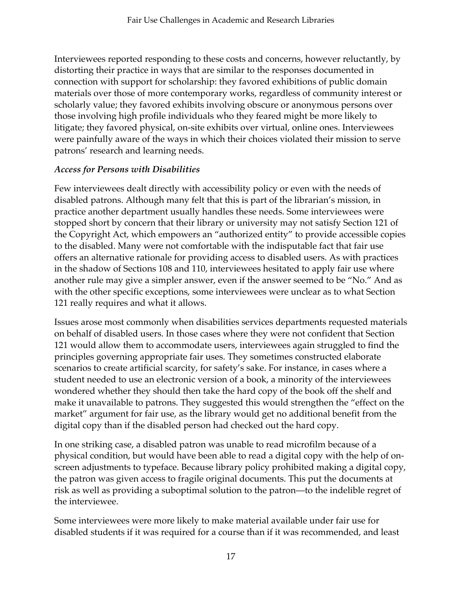Interviewees reported responding to these costs and concerns, however reluctantly, by distorting their practice in ways that are similar to the responses documented in connection with support for scholarship: they favored exhibitions of public domain materials over those of more contemporary works, regardless of community interest or scholarly value; they favored exhibits involving obscure or anonymous persons over those involving high profile individuals who they feared might be more likely to litigate; they favored physical, on-site exhibits over virtual, online ones. Interviewees were painfully aware of the ways in which their choices violated their mission to serve patrons' research and learning needs.

# *Access for Persons with Disabilities*

Few interviewees dealt directly with accessibility policy or even with the needs of disabled patrons. Although many felt that this is part of the librarian's mission, in practice another department usually handles these needs. Some interviewees were stopped short by concern that their library or university may not satisfy Section 121 of the Copyright Act, which empowers an "authorized entity" to provide accessible copies to the disabled. Many were not comfortable with the indisputable fact that fair use offers an alternative rationale for providing access to disabled users. As with practices in the shadow of Sections 108 and 110, interviewees hesitated to apply fair use where another rule may give a simpler answer, even if the answer seemed to be "No." And as with the other specific exceptions, some interviewees were unclear as to what Section 121 really requires and what it allows.

Issues arose most commonly when disabilities services departments requested materials on behalf of disabled users. In those cases where they were not confident that Section 121 would allow them to accommodate users, interviewees again struggled to find the principles governing appropriate fair uses. They sometimes constructed elaborate scenarios to create artificial scarcity, for safety's sake. For instance, in cases where a student needed to use an electronic version of a book, a minority of the interviewees wondered whether they should then take the hard copy of the book off the shelf and make it unavailable to patrons. They suggested this would strengthen the "effect on the market" argument for fair use, as the library would get no additional benefit from the digital copy than if the disabled person had checked out the hard copy.

In one striking case, a disabled patron was unable to read microfilm because of a physical condition, but would have been able to read a digital copy with the help of onscreen adjustments to typeface. Because library policy prohibited making a digital copy, the patron was given access to fragile original documents. This put the documents at risk as well as providing a suboptimal solution to the patron—to the indelible regret of the interviewee.

Some interviewees were more likely to make material available under fair use for disabled students if it was required for a course than if it was recommended, and least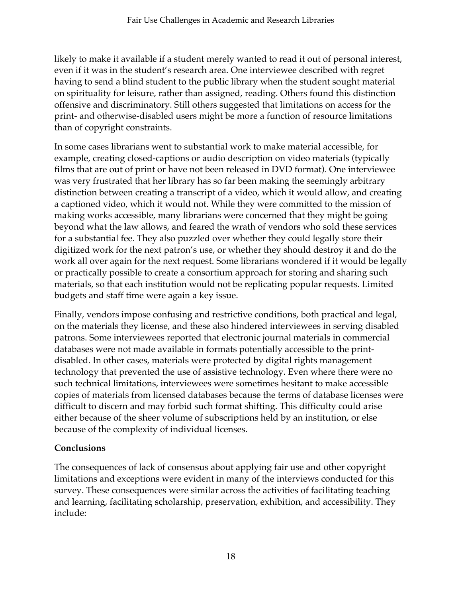likely to make it available if a student merely wanted to read it out of personal interest, even if it was in the student's research area. One interviewee described with regret having to send a blind student to the public library when the student sought material on spirituality for leisure, rather than assigned, reading. Others found this distinction offensive and discriminatory. Still others suggested that limitations on access for the print- and otherwise-disabled users might be more a function of resource limitations than of copyright constraints.

In some cases librarians went to substantial work to make material accessible, for example, creating closed-captions or audio description on video materials (typically films that are out of print or have not been released in DVD format). One interviewee was very frustrated that her library has so far been making the seemingly arbitrary distinction between creating a transcript of a video, which it would allow, and creating a captioned video, which it would not. While they were committed to the mission of making works accessible, many librarians were concerned that they might be going beyond what the law allows, and feared the wrath of vendors who sold these services for a substantial fee. They also puzzled over whether they could legally store their digitized work for the next patron's use, or whether they should destroy it and do the work all over again for the next request. Some librarians wondered if it would be legally or practically possible to create a consortium approach for storing and sharing such materials, so that each institution would not be replicating popular requests. Limited budgets and staff time were again a key issue.

Finally, vendors impose confusing and restrictive conditions, both practical and legal, on the materials they license, and these also hindered interviewees in serving disabled patrons. Some interviewees reported that electronic journal materials in commercial databases were not made available in formats potentially accessible to the printdisabled. In other cases, materials were protected by digital rights management technology that prevented the use of assistive technology. Even where there were no such technical limitations, interviewees were sometimes hesitant to make accessible copies of materials from licensed databases because the terms of database licenses were difficult to discern and may forbid such format shifting. This difficulty could arise either because of the sheer volume of subscriptions held by an institution, or else because of the complexity of individual licenses.

# **Conclusions**

The consequences of lack of consensus about applying fair use and other copyright limitations and exceptions were evident in many of the interviews conducted for this survey. These consequences were similar across the activities of facilitating teaching and learning, facilitating scholarship, preservation, exhibition, and accessibility. They include: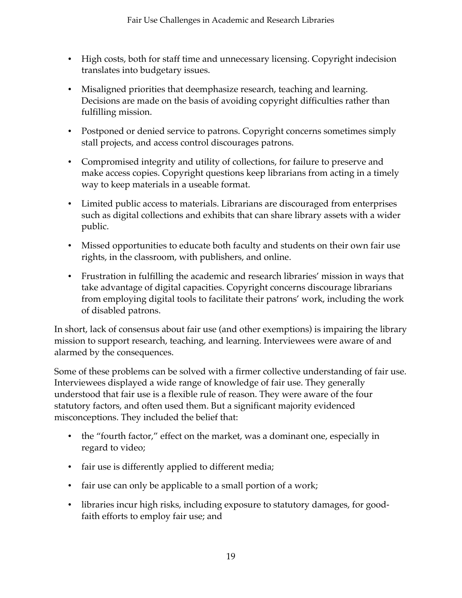- High costs, both for staff time and unnecessary licensing. Copyright indecision translates into budgetary issues.
- Misaligned priorities that deemphasize research, teaching and learning. Decisions are made on the basis of avoiding copyright difficulties rather than fulfilling mission.
- Postponed or denied service to patrons. Copyright concerns sometimes simply stall projects, and access control discourages patrons.
- Compromised integrity and utility of collections, for failure to preserve and make access copies. Copyright questions keep librarians from acting in a timely way to keep materials in a useable format.
- Limited public access to materials. Librarians are discouraged from enterprises such as digital collections and exhibits that can share library assets with a wider public.
- Missed opportunities to educate both faculty and students on their own fair use rights, in the classroom, with publishers, and online.
- Frustration in fulfilling the academic and research libraries' mission in ways that take advantage of digital capacities. Copyright concerns discourage librarians from employing digital tools to facilitate their patrons' work, including the work of disabled patrons.

In short, lack of consensus about fair use (and other exemptions) is impairing the library mission to support research, teaching, and learning. Interviewees were aware of and alarmed by the consequences.

Some of these problems can be solved with a firmer collective understanding of fair use. Interviewees displayed a wide range of knowledge of fair use. They generally understood that fair use is a flexible rule of reason. They were aware of the four statutory factors, and often used them. But a significant majority evidenced misconceptions. They included the belief that:

- the "fourth factor," effect on the market, was a dominant one, especially in regard to video;
- fair use is differently applied to different media;
- fair use can only be applicable to a small portion of a work;
- libraries incur high risks, including exposure to statutory damages, for goodfaith efforts to employ fair use; and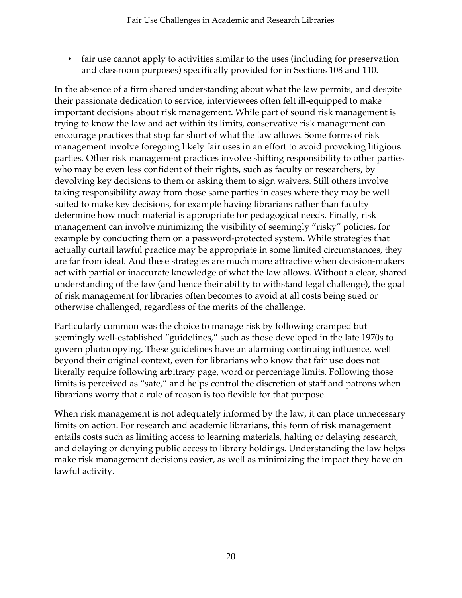• fair use cannot apply to activities similar to the uses (including for preservation and classroom purposes) specifically provided for in Sections 108 and 110.

In the absence of a firm shared understanding about what the law permits, and despite their passionate dedication to service, interviewees often felt ill-equipped to make important decisions about risk management. While part of sound risk management is trying to know the law and act within its limits, conservative risk management can encourage practices that stop far short of what the law allows. Some forms of risk management involve foregoing likely fair uses in an effort to avoid provoking litigious parties. Other risk management practices involve shifting responsibility to other parties who may be even less confident of their rights, such as faculty or researchers, by devolving key decisions to them or asking them to sign waivers. Still others involve taking responsibility away from those same parties in cases where they may be well suited to make key decisions, for example having librarians rather than faculty determine how much material is appropriate for pedagogical needs. Finally, risk management can involve minimizing the visibility of seemingly "risky" policies, for example by conducting them on a password-protected system. While strategies that actually curtail lawful practice may be appropriate in some limited circumstances, they are far from ideal. And these strategies are much more attractive when decision-makers act with partial or inaccurate knowledge of what the law allows. Without a clear, shared understanding of the law (and hence their ability to withstand legal challenge), the goal of risk management for libraries often becomes to avoid at all costs being sued or otherwise challenged, regardless of the merits of the challenge.

Particularly common was the choice to manage risk by following cramped but seemingly well-established "guidelines," such as those developed in the late 1970s to govern photocopying. These guidelines have an alarming continuing influence, well beyond their original context, even for librarians who know that fair use does not literally require following arbitrary page, word or percentage limits. Following those limits is perceived as "safe," and helps control the discretion of staff and patrons when librarians worry that a rule of reason is too flexible for that purpose.

When risk management is not adequately informed by the law, it can place unnecessary limits on action. For research and academic librarians, this form of risk management entails costs such as limiting access to learning materials, halting or delaying research, and delaying or denying public access to library holdings. Understanding the law helps make risk management decisions easier, as well as minimizing the impact they have on lawful activity.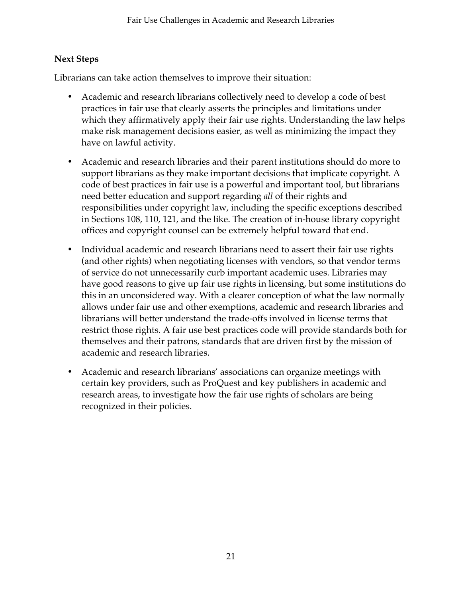# **Next Steps**

Librarians can take action themselves to improve their situation:

- Academic and research librarians collectively need to develop a code of best practices in fair use that clearly asserts the principles and limitations under which they affirmatively apply their fair use rights. Understanding the law helps make risk management decisions easier, as well as minimizing the impact they have on lawful activity.
- Academic and research libraries and their parent institutions should do more to support librarians as they make important decisions that implicate copyright. A code of best practices in fair use is a powerful and important tool, but librarians need better education and support regarding *all* of their rights and responsibilities under copyright law, including the specific exceptions described in Sections 108, 110, 121, and the like. The creation of in-house library copyright offices and copyright counsel can be extremely helpful toward that end.
- Individual academic and research librarians need to assert their fair use rights (and other rights) when negotiating licenses with vendors, so that vendor terms of service do not unnecessarily curb important academic uses. Libraries may have good reasons to give up fair use rights in licensing, but some institutions do this in an unconsidered way. With a clearer conception of what the law normally allows under fair use and other exemptions, academic and research libraries and librarians will better understand the trade-offs involved in license terms that restrict those rights. A fair use best practices code will provide standards both for themselves and their patrons, standards that are driven first by the mission of academic and research libraries.
- Academic and research librarians' associations can organize meetings with certain key providers, such as ProQuest and key publishers in academic and research areas, to investigate how the fair use rights of scholars are being recognized in their policies.